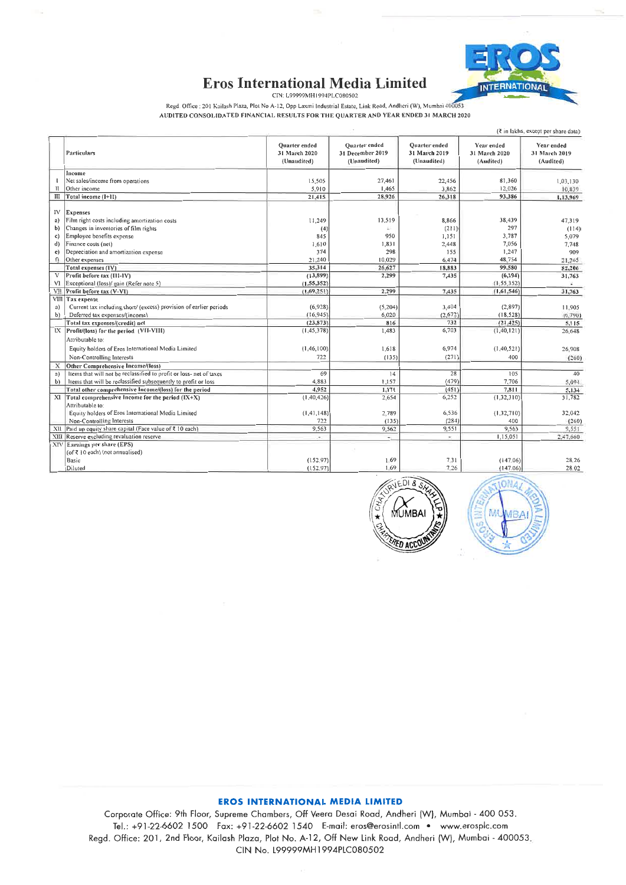

# **Eros International Media Limited**

CIN: L99999MH1994PLC080502

Regd. Office : 201 Kailash Plaza, Plot No A-12, Opp Laxmi Industrial Estate, Link Road, Andheri (W), Mumbai 400053 AUDITED CONSOLIDATED FINANCIAL RESULTS FOR THE QUARTER AND YEAR ENDED 31 MARCH 2020

|                  |                                                                                        |                                               |                                                  |                                               |                                          | $(3 \infty)$ in lakhs, except per share data) |  |
|------------------|----------------------------------------------------------------------------------------|-----------------------------------------------|--------------------------------------------------|-----------------------------------------------|------------------------------------------|-----------------------------------------------|--|
|                  | Particulars                                                                            | Quarter ended<br>31 March 2020<br>(Unaudited) | Quarter ended<br>31 December 2019<br>(Unaudited) | Quarter ended<br>31 March 2019<br>(Unaudited) | Year ended<br>31 March 2020<br>(Audited) | Year ended<br>31 March 2019<br>(Audited)      |  |
|                  | Income                                                                                 |                                               |                                                  |                                               |                                          |                                               |  |
|                  | Net sales/income from operations                                                       | 15,505                                        | 27,461                                           | 22,456                                        | 81,360                                   | 1,03,130                                      |  |
| π                | Other income                                                                           | 5,910                                         | 1.465                                            | 3.862                                         | 12,026                                   | 10,839                                        |  |
| Ш                | Total income (1+11)                                                                    | 21,415                                        | 28,926                                           | 26.318                                        | 93,386                                   | 1,13,969                                      |  |
|                  |                                                                                        |                                               |                                                  |                                               |                                          |                                               |  |
| IV               | <b>Expenses</b>                                                                        |                                               | 13,519                                           |                                               |                                          |                                               |  |
| a)               | Film right costs including amortization costs<br>Changes in inventories of film rights | 11,249                                        |                                                  | 8,866<br>(211)                                | 38,439<br>297                            | 47,319<br>(114)                               |  |
| b)               | Employee benefits expense                                                              | (4)<br>845                                    | 950                                              | 1,151                                         | 3,787                                    | 5,079                                         |  |
| c)<br>d)         | Finance costs (net)                                                                    | 1,610                                         | 1,831                                            | 2,448                                         | 7,056                                    | 7,748                                         |  |
| $\epsilon$       | Depreciation and amortization expense                                                  | 374                                           | 298                                              | 155                                           | 1,247                                    | 909                                           |  |
| f)               | Other expenses                                                                         | 21,240                                        | 10,029                                           | 6,474                                         | 48,754                                   | 21.265                                        |  |
|                  | Total expenses (IV)                                                                    | 35.314                                        | 26.627                                           | 18,883                                        | 99.580                                   | 82,206                                        |  |
| V                | Profit before tax (III-IV)                                                             | (13, 899)                                     | 2,299                                            | 7,435                                         | (6, 194)                                 | 31,763                                        |  |
| V1               | Exceptional (loss)/ gain (Refer note 5)                                                | (1,55,352)                                    |                                                  |                                               | (1, 55, 352)                             | ¥                                             |  |
| VII              | Profit before tax (V-VI)                                                               | (1.69.251)                                    | 2,299                                            | 7,435                                         | (1,61,546)                               | 31,763                                        |  |
|                  | VIII Tax expense                                                                       |                                               |                                                  |                                               |                                          |                                               |  |
| a)               | Current tax including short/ (excess) provision of earlier periods                     | (6,928)                                       | (5,204)                                          | 3,404                                         | (2,897)                                  | 11,905                                        |  |
| b)               | Deferred tax expenses/(income)                                                         | (16, 945)                                     | 6.020                                            | (2,672)                                       | (18, 528)                                | (6,790)                                       |  |
|                  | Total tax expenses/(credit) net                                                        | (23, 873)                                     | 816                                              | 732                                           | (21, 425)                                | 5,115                                         |  |
|                  | IX Profit/(loss) for the period (VII-VIII)                                             | (1, 45, 378)                                  | 1,483                                            | 6,703                                         | (1, 40, 121)                             | 26,648                                        |  |
|                  | Attributable to:                                                                       |                                               |                                                  |                                               |                                          |                                               |  |
|                  | Equity holders of Eros International Media Limited                                     | (1, 46, 100)                                  | 1,618                                            | 6.974                                         | (1, 40, 521)                             | 26,908                                        |  |
|                  | Non-Controlling Interests                                                              | 722                                           | (135)                                            | (271)                                         | 400                                      | (260)                                         |  |
| X                | Other Comprehensive Income/(loss)                                                      |                                               |                                                  |                                               |                                          |                                               |  |
| a)               | Items that will not be reclassified to profit or loss- net of taxes                    | 69                                            | 14                                               | 28                                            | 105                                      | 40                                            |  |
| b)               | Items that will be reclassified subsequently to profit or loss                         | 4.883                                         | 1.157                                            | (479)                                         | 7,706                                    | 5,094                                         |  |
|                  | Total other comprehensive Income/(loss) for the period                                 | 4.952                                         | 1.171                                            | (451)                                         | 7,811                                    | 5,134                                         |  |
| XI               | Total comprehensive Income for the period (IX+X)                                       | (1, 40, 426)                                  | 2,654                                            | 6,252                                         | (1, 32, 310)                             | 31,782                                        |  |
|                  | Attributable to:                                                                       |                                               |                                                  |                                               |                                          |                                               |  |
|                  | Equity holders of Eros International Media Limited                                     | (1, 41, 148)                                  | 2,789                                            | 6,536                                         | (1,32,710)                               | 32,042                                        |  |
|                  | Non-Controlling Interests                                                              | 722                                           | (135)                                            | (284)                                         | 400                                      | (260)                                         |  |
|                  | XII Paid up equity share capital (Face value of ₹ 10 each)                             | 9,563                                         | 9,562                                            | 9,551                                         | 9,563                                    | 9,551                                         |  |
| XIII.            | Reserve excluding revaluation reserve                                                  | ÷.                                            |                                                  | v.                                            | 1.15.051                                 | 2.47,660                                      |  |
| XIV <sup>I</sup> | Earnings per share (EPS)                                                               |                                               |                                                  |                                               |                                          |                                               |  |
|                  | (of ₹ 10 each) (not annualised)                                                        |                                               |                                                  |                                               |                                          |                                               |  |
|                  | Basic                                                                                  | (152.97)                                      | 1.69                                             | 7.31                                          | (147.06)                                 | 28.26                                         |  |
|                  | Diluted                                                                                | (152.97)                                      | 1.69                                             | 7.26                                          | (14706)                                  | 28.02                                         |  |





# **EROS INTERNATIONAL MEDIA LIMITED**

Corporate Office: 9th Floor, Supreme Chambers, Off Veera Desai Road, Andheri (W), Mumbai - 400 053. Tel.: +91-22-6602 1500 Fax: +91-22-6602 1540 E-mail: eros@erosintl.com • www.erosplc.com Regd. Office: 201, 2nd Floor, Kailash Plaza, Plot No. A-12, Off New Link Road, Andheri (W), Mumbai - 400053. CIN No. L99999MH1994PLC080502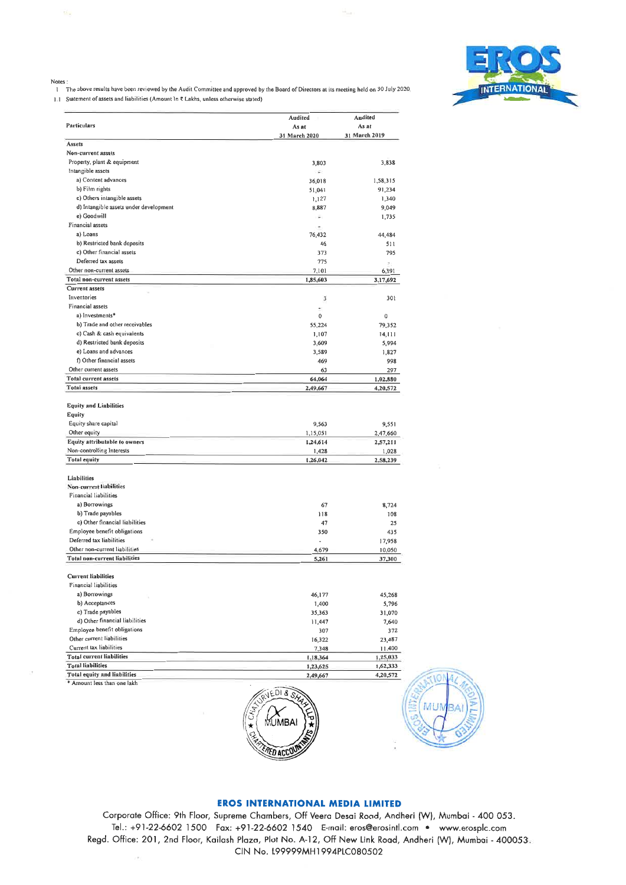

#### Notes

.<br>The above results have been reviewed by the Audit Committee and approved by the Board of Directors at its meeting held on 30 July 2020. 1.1 Statement of assets and liabilities (Amount In ₹ Lakhs, unless otherwise stated)

Andited Audited Particulars As at Asat 31 March 2020 31 March 2019 Assets Non-current assets Property, plant & equipment 3,803 3,838 Intangible assets a) Content advances 36,018 1,58,315 b) Film rights  $51,041$ 91,234 c) Others intangible assets  $1,127$ 1,340 d) Intangible assets under development 9,049 8,887 e) Goodwill 1,735 ı E Financial assets a) Loans 76.432 44,484 b) Restricted bank deposits  $511$ 46 c) Other financial assets 795  $373$ Deferred tax assets 775 Other non-current assets 7.101 6.391 Total non-current assets 1,85,603 3,17,692 Current assets Inventories  $\bar{3}$ 301 Financial assets a) Investments\*  $\overline{0}$  $\Omega$ b) Trade and other receivables 55,224 79,352 c) Cash & cash equivalents 1,107  $14, 111$ d) Restricted bank deposits  $3,609$ 5,994 e) Loans and advances  $1,827$ 3,589 f) Other financial assets 998 469 Other current assets 297 63 Total current assets 64,064 1,02,880 **Total assets** 2,49,667 4,20,572 **Equity and Liabilities** Equity Equity share capital 9.551 9.563 Other equity 1,15,051 2,47,660 Equity attributable to owners 1,24,614 2,57,211 Non-controlling Interests  $1,428$  $1,028$ **Total equity** 1,26,042 2,58,239 Liabilities Non-current liabilities Financial liabilities a) Borrowings 67 8,724 b) Trade payables  $118$ 108 c) Other financial liabilities 25 47 Employee benefit obligations 350 435 Deferred tax liabilities 17,958 Other non-current liabilities 4,679 10,050 Total non-current liabilities 37,300 5,261 Current liabilities Financial liabilities a) Borrowings 46,177 45,268 5,796 b) Acceptances 1,400 c) Trade payables 35.363 31.070 d) Other financial liabilities 7,640 11,447 Employee benefit obligations 307 372 Other current liabilities 16,322 23,487 Current tax liabilities 7,348 11,400 **Total current liabilities** 1,18,364 1.25,033 **Total liabilities** 1,23,625 1,62,333 Total equity and liabilities 4,20,572 2,49,667 \* Amount less than one lakh





MUI

Corporate Office: 9th Floor, Supreme Chambers, Off Veera Desai Road, Andheri (W), Mumbai - 400 053. Tel.: +91-22-6602 1500 Fax: +91-22-6602 1540 E-mail: eros@erosintl.com . www.erosplc.com Regd. Office: 201, 2nd Floor, Kailash Plaza, Plot No. A-12, Off New Link Road, Andheri (W), Mumbai - 400053. CIN No. 199999MH1994PLC080502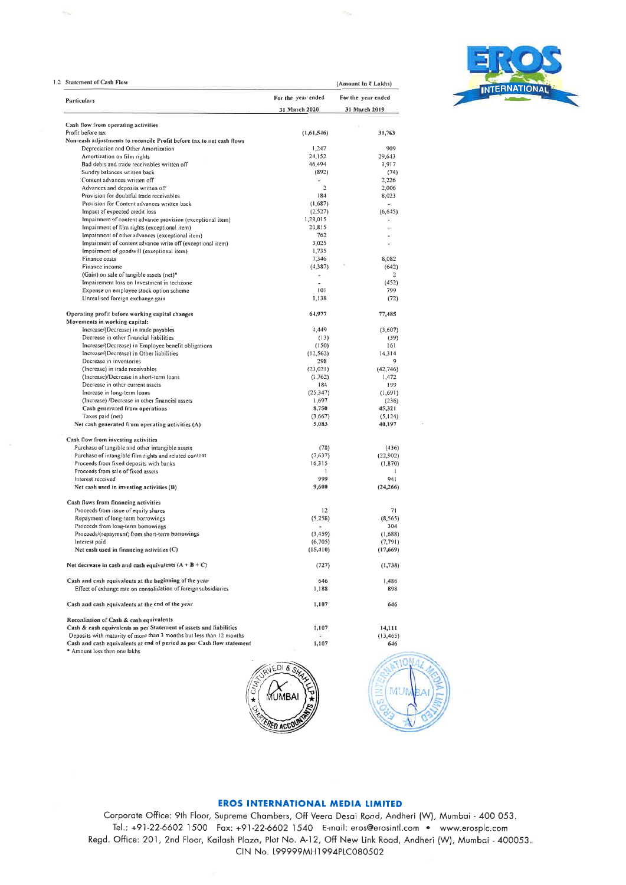|  | <b>INTERNATIONAL</b> |  |  |
|--|----------------------|--|--|
|  |                      |  |  |

| <b>Statement of Cash Flow</b>                                                                                                                 | (Amount In ₹ Lakhs)                 |                                     |  |  |
|-----------------------------------------------------------------------------------------------------------------------------------------------|-------------------------------------|-------------------------------------|--|--|
| Particulars                                                                                                                                   | For the year ended<br>31 March 2020 | For the year ended<br>31 March 2019 |  |  |
|                                                                                                                                               |                                     |                                     |  |  |
| Cash flow from operating activities                                                                                                           |                                     |                                     |  |  |
| Profit before tax                                                                                                                             | (1,61,546)                          | 31,763                              |  |  |
| Non-cash adjustments to reconcile Profit before tax to net cash flows                                                                         |                                     |                                     |  |  |
| Depreciation and Other Amortization                                                                                                           | 1,247                               | 909                                 |  |  |
| Amortization on film rights                                                                                                                   | 24,152                              | 29,643                              |  |  |
| Bad debts and trade receivables written off                                                                                                   | 46,494                              | 1,917                               |  |  |
| Sundry balances written back                                                                                                                  | (892)                               | (74)                                |  |  |
| Content advances written off                                                                                                                  | ×.                                  | 2,226                               |  |  |
| Advances and deposits written off                                                                                                             | $\overline{\mathbf{r}}$             | 2,006                               |  |  |
| Provision for doubtful trade receivables                                                                                                      | 184                                 | 8,023                               |  |  |
| Provision for Content advances written back                                                                                                   | (1,687)                             | ÷                                   |  |  |
| Impact of expected credit loss                                                                                                                | (2,527)                             | (6, 645)                            |  |  |
| Impairment of content advance provision (exceptional item)                                                                                    | 1,29,015                            |                                     |  |  |
| Impairment of film rights (exceptional item)                                                                                                  | 20,815                              |                                     |  |  |
| Impairment of other advances (exceptional item)                                                                                               | 762                                 |                                     |  |  |
| Impairment of content advance write off (exceptional item)                                                                                    | 3,025                               |                                     |  |  |
| Impairment of goodwill (exceptional item)                                                                                                     | 1,735                               |                                     |  |  |
| Finance costs                                                                                                                                 | 7,346                               | 8,082                               |  |  |
| Finance income                                                                                                                                | (4, 387)                            | (642)                               |  |  |
| (Gain) on sale of tangible assets (net)*                                                                                                      |                                     | 2                                   |  |  |
| Impairement loss on Investment in techzone                                                                                                    | $\sim$                              | (452)                               |  |  |
| Expense on employee stock option scheme                                                                                                       | 101                                 | 799                                 |  |  |
| Unrealised foreign exchange gain                                                                                                              |                                     |                                     |  |  |
|                                                                                                                                               | 1,138                               | (72)                                |  |  |
| Operating profit before working capital changes<br>Movements in working capital:                                                              | 64,977                              | 77,485                              |  |  |
| Increase/(Decrease) in trade payables                                                                                                         |                                     |                                     |  |  |
|                                                                                                                                               | 4,449                               | (3,607)                             |  |  |
| Decrease in other financial liabilities                                                                                                       | (13)                                | (39)                                |  |  |
| Increase/(Decrease) in Employee benefit obligations                                                                                           | (150)                               | 161                                 |  |  |
| Increase/(Decrease) in Other liabilities                                                                                                      | (12, 562)                           | 14,314                              |  |  |
| Decrease in inventories                                                                                                                       | 298                                 | 9                                   |  |  |
| (Increase) in trade receivables                                                                                                               | (23,021)                            | (42,746)                            |  |  |
| (Increase)/Decrease in short-term loans                                                                                                       | (1, 762)                            | 1,472                               |  |  |
| Decrease in other current assets                                                                                                              | 184                                 | 199                                 |  |  |
| Increase in long-term loans                                                                                                                   | (25, 347)                           | (1,691)                             |  |  |
| (Increase) /Decrease in other financial assets                                                                                                | 1,697                               | (236)                               |  |  |
| Cash generated from operations                                                                                                                | 8,750                               | 45,321                              |  |  |
| Taxes paid (net)                                                                                                                              | (3,667)                             | (5, 124)                            |  |  |
| Net cash generated from operating activities (A)                                                                                              | 5,083                               | 40,197                              |  |  |
| Cash flow from investing activities                                                                                                           |                                     |                                     |  |  |
| Purchase of tangible and other intangible assets                                                                                              | (78)                                | (436)                               |  |  |
| Purchase of intangible film rights and related content                                                                                        | (7,637)                             | (22,902)                            |  |  |
| Proceeds from fixed deposits with banks                                                                                                       | 16,315                              | (1, 870)                            |  |  |
| Proceeds from sale of fixed assets                                                                                                            | 1                                   | $\mathbf{1}$                        |  |  |
| Interest received                                                                                                                             | 999                                 | 941                                 |  |  |
| Net cash used in investing activities (B)                                                                                                     | 9,600                               | (24, 266)                           |  |  |
|                                                                                                                                               |                                     |                                     |  |  |
| Cash flows from financing activities                                                                                                          |                                     |                                     |  |  |
| Proceeds from issue of equity shares                                                                                                          | 12                                  | 71                                  |  |  |
| Repayment of long-term borrowings                                                                                                             | (5,258)                             | (8, 565)                            |  |  |
| Proceeds from long-term borrowings                                                                                                            |                                     | 304                                 |  |  |
| Proceeds/(repayment) from short-term borrowings                                                                                               | (3, 459)                            | (1,688)                             |  |  |
| Interest paid<br>Net cash used in financing activities (C)                                                                                    | (6,705)                             | (7, 791)                            |  |  |
|                                                                                                                                               | (15, 410)                           | (17,009)                            |  |  |
| Net decive ase in cash and cash equivalents $(A + B + C)$                                                                                     | (727)                               | (1,738)                             |  |  |
| Cash and cash equivalents at the beginning of the year                                                                                        | 646                                 | 1,486                               |  |  |
| Effect of exhange rate on consolidation of foreign subsidiaries                                                                               | 1,188                               | 898                                 |  |  |
| Cash and cash equivalents at the end of the year                                                                                              | 1,107                               | 646                                 |  |  |
| Reconliation of Cash & cash equivalents                                                                                                       |                                     |                                     |  |  |
|                                                                                                                                               | 1,107                               | 14,111                              |  |  |
|                                                                                                                                               |                                     |                                     |  |  |
| Cash & cash equivalents as per Statement of assets and liabilities                                                                            | ×.                                  |                                     |  |  |
| Deposits with maturity of more than 3 months but less than 12 months<br>Cash and cash equivalents at end of period as per Cash flow statement | 1,107                               | (13, 465)<br>646                    |  |  |





# **EROS INTERNATIONAL MEDIA LIMITED**

Corporate Office: 9th Floor, Supreme Chambers, Off Veera Desai Road, Andheri (W), Mumbai - 400 053. Tel.: +91-22-6602 1500 Fax: +91-22-6602 1540 E-mail: eros@erosintl.com • www.erosplc.com Regd. Office: 201, 2nd Floor, Kailash Plaza, Plot No. A-12, Off New Link Road, Andheri (W), Mumbai - 400053 CIN No. L99999MH1994PLC080502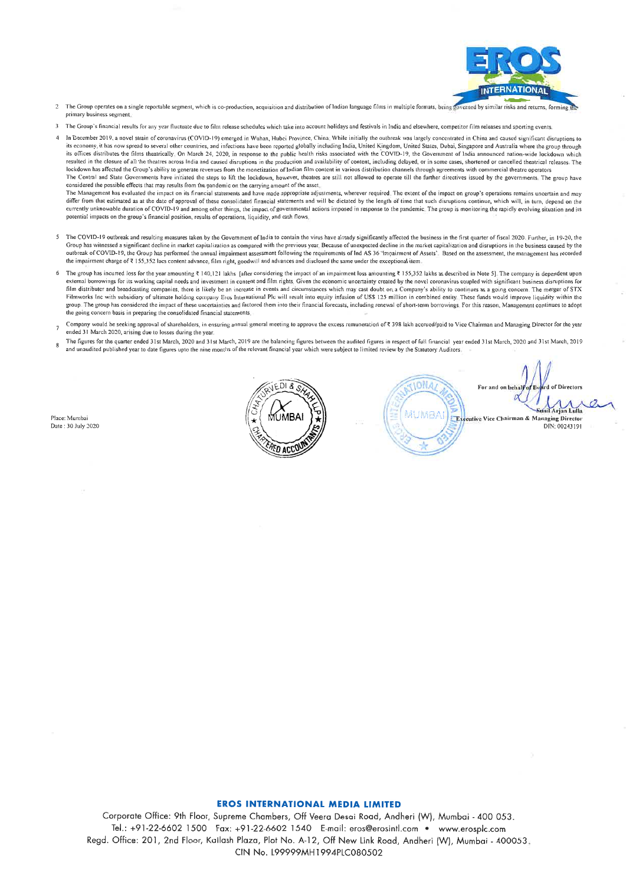

- The Group operates on a single reportable segment, which is co-production, acquisition and distribution of Indian language films in multiple formats, being go sed by similar risks and retur primary business segment
- The Group's financial results for any year fluctuate due to film release schedules which take into account holidays and festivals in India and elsewhere, competitor film releases and sporting events
- In December 2019, a novel strain of coronavirus (COVID-19) emerged in Wuban, Hubei Province, China: While initially the outbreak was largely concentrated in China and caused significant distuptions to its economy, it has now spread to several other countries, and infections have been reported globally including India, United Kingdom, United States, Dubai, Singapore and Australia where the group through its offices distributes the films theatrically. On March 24, 2020, in response to the public health risks associated with the COVID-19, the Government of India announced nation-wide lockdown which resulted in the closure of all the theatres across India and caused disruptions in the production and availability of content, including delayed, or in some cases, shortened or cancelled theatrical releases. The lockdown h The Central and State Governments have initiated the steps to lift the lockdown, however, theatres are still not allowed to operate till the further directives issued by the governments. The group have considered the possible effects that may results from the pandemic on the carrying amount of the asset. The Management has evaluated the impact on its financial statements and have made appropriate adjustments, wherever required. The extent of the impact on group's operations remains uncertain and may differ from that estimated as at the date of approval of these consolidated financial statements and will be dictated by the length of time that such disruptions continue, which will, in turn, depend on the currently unknowable duration of COVID-19 and among other things, the impact of governmental actions imposed in response to the pandemic. The group is monitoring the rapidly evolving situation and its potential impacts on the group's financial position, results of operations, liquidity, and cash flows
- The COVID-19 outbreak and resulting measures taken by the Government of India to contain the virus have already significantly affected the business in the first quarter of fiscal 2020. Further, in 19-20, the From the maximum contract and distribution as compared with the previous year. Because of unexpected decline in the market capitalization and disruptions in the business caused by the<br>outbreak of COVID-19, the Group has pe
- The group has incurred loss for the year amounting  $\bar{x}$  140,121 lakhs [after considering the impact of an impairment loss amounting  $\bar{x}$  155,352 lakhs as described in Note 5]. The company is dependent upon external borrowings for its working capital needs and investment in content and film rights. Given the economic uncertainty created by the novel coronavirus coupled with significant business disruptions for film distributer and broadcasting companies, there is likely be an increase in events and circumstances which may cast doubt on a Company's ability to continues as a going concern. The merger of STX Filmworks line with subsidiary of ultimate holding companies, increase in the companies when may cast uout on a company s about the companies of the state of these funds would improve liquidity within the group. The group the going concern basis in preparing the consolidated financial statements
- Company would be seeking approval of shareholders, in ensuring annual general meeting to approve the excess remuneration of ₹ 398 lakh accrued/paid to Vice Chairman and Managing Director for the year ended 31 March 2020, arising due to losses during the year
- The figures for the quarter ended 31st March, 2020 and 31st March, 2019 are the balancing figures between the audited figures in respect of full financial year ended 31st March, 2020 and 31st March, 2019 and unaudited published year to date figures upto the nine months of the relevant financial year which were subject to limited review by the Statutory Auditors.

Place: Mumbai Date: 30 July 2020



**IONA** MUNEAL FEU ttive Vice Chairman & Managing Director DIN: 00243191

of Divectors

#### **EROS INTERNATIONAL MEDIA LIMITED**

Corporate Office: 9th Floor, Supreme Chambers, Off Veera Desai Road, Andheri (W), Mumbai - 400 053. Tel.: +91-22-6602 1500 Fax: +91-22-6602 1540 E-mail: eros@erosintl.com · www.erosplc.com Regd. Office: 201, 2nd Floor, Kailash Plaza, Plot No. A-12, Off New Link Road, Andheri (W), Mumbai - 400053. CIN No. L99999MH1994PLC080502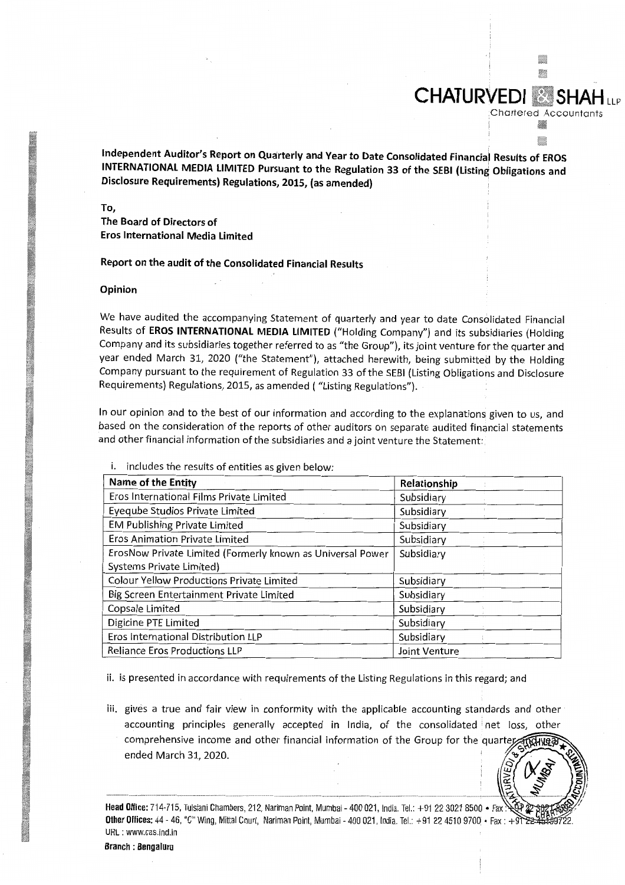Independent Auditor's Report on Quarterly and Year to Date Consolidated Financial Results of EROS INTERNATIONAL MEDIA LIMITED Pursuant to the Regulation 33 of the SEBI (Listing Obligations and Disclosure Requirements) Regulations, 2015, (as amended)

m

**Chartered Accountants** 

E

**CHATURVEDI &** 

To,

The Board of Directors of **Eros International Media Limited** 

Report on the audit of the Consolidated Financial Results

#### Opinion

We have audited the accompanying Statement of quarterly and year to date Consolidated Financial Results of EROS INTERNATIONAL MEDIA LIMITED ("Holding Company") and its subsidiaries (Holding Company and its subsidiaries together referred to as "the Group"), its joint venture for the quarter and year ended March 31, 2020 ("the Statement"), attached herewith, being submitted by the Holding Company pursuant to the requirement of Regulation 33 of the SEBI (Listing Obligations and Disclosure Requirements) Regulations, 2015, as amended ("Listing Regulations").

In our opinion and to the best of our information and according to the explanations given to us, and based on the consideration of the reports of other auditors on separate audited financial statements and other financial information of the subsidiaries and a joint venture the Statement:

| Name of the Entity                                         | Relationship  |
|------------------------------------------------------------|---------------|
| Eros International Films Private Limited                   | Subsidiary    |
| Eyeqube Studios Private Limited                            | Subsidiary    |
| <b>EM Publishing Private Limited</b>                       | Subsidiary    |
| Eros Animation Private Limited                             | Subsidiary    |
| ErosNow Private Limited (Formerly known as Universal Power | Subsidiary    |
| Systems Private Limited)                                   |               |
| <b>Colour Yellow Productions Private Limited</b>           | Subsidiary    |
| Big Screen Entertainment Private Limited                   | Subsidiary    |
| Copsale Limited                                            | Subsidiary    |
| Digicine PTE Limited                                       | Subsidiary    |
| Eros International Distribution LLP                        | Subsidiary    |
| <b>Reliance Eros Productions LLP</b>                       | Joint Venture |

i. includes the results of entities as given below:

ii. is presented in accordance with requirements of the Listing Regulations in this regard; and

iii. gives a true and fair view in conformity with the applicable accounting standards and other accounting principles generally accepted in India, of the consolidated net loss, other comprehensive income and other financial information of the Group for the quarte ended March 31, 2020.

Head Office: 714-715, Tulsiani Chambers, 212, Nariman Point, Mumbai - 400 021, India. Tel.: +91 22 3021 8500 · Fax Other Offices: 44 - 46, "C" Wing, Mittal Court, Nariman Point, Mumbai - 400 021, India. Tel.: +91 22 4510 9700 • Fax: +9 URL: www.cas.ind.in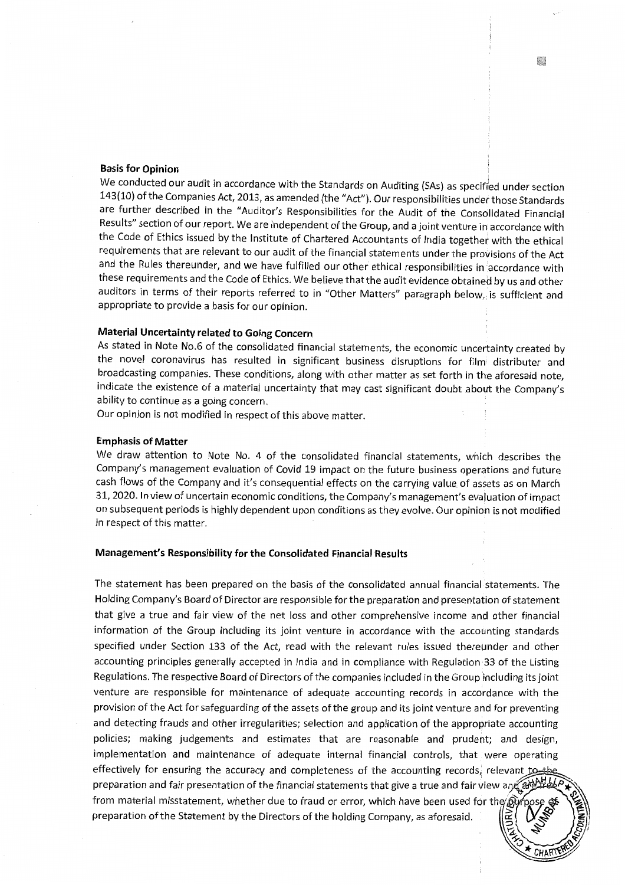## **Basis for Opinion**

We conducted our audit in accordance with the Standards on Auditing (SAs) as specified under section 143(10) of the Companies Act, 2013, as amended (the "Act"). Our responsibilities under those Standards are further described in the "Auditor's Responsibilities for the Audit of the Consolidated Financial Results" section of our report. We are independent of the Group, and a joint venture in accordance with the Code of Ethics issued by the Institute of Chartered Accountants of India together with the ethical requirements that are relevant to our audit of the financial statements under the provisions of the Act and the Rules thereunder, and we have fulfilled our other ethical responsibilities in accordance with these requirements and the Code of Ethics. We believe that the audit evidence obtained by us and other auditors in terms of their reports referred to in "Other Matters" paragraph below, is sufficient and appropriate to provide a basis for our opinion.

# Material Uncertainty related to Going Concern

As stated in Note No.6 of the consolidated financial statements, the economic uncertainty created by the novel coronavirus has resulted in significant business disruptions for film distributer and broadcasting companies. These conditions, along with other matter as set forth in the aforesaid note, indicate the existence of a material uncertainty that may cast significant doubt about the Company's ability to continue as a going concern.

Our opinion is not modified in respect of this above matter.

#### **Emphasis of Matter**

We draw attention to Note No. 4 of the consolidated financial statements, which describes the Company's management evaluation of Covid 19 impact on the future business operations and future cash flows of the Company and it's consequential effects on the carrying value of assets as on March 31, 2020. In view of uncertain economic conditions, the Company's management's evaluation of impact on subsequent periods is highly dependent upon conditions as they evolve. Our opinion is not modified in respect of this matter.

### Management's Responsibility for the Consolidated Financial Results

The statement has been prepared on the basis of the consolidated annual financial statements. The Holding Company's Board of Director are responsible for the preparation and presentation of statement that give a true and fair view of the net loss and other comprehensive income and other financial information of the Group including its joint venture in accordance with the accounting standards specified under Section 133 of the Act, read with the relevant rules issued thereunder and other accounting principles generally accepted in India and in compliance with Regulation 33 of the Listing Regulations. The respective Board of Directors of the companies included in the Group including its joint venture are responsible for maintenance of adequate accounting records in accordance with the provision of the Act for safeguarding of the assets of the group and its joint venture and for preventing and detecting frauds and other irregularities; selection and application of the appropriate accounting policies; making judgements and estimates that are reasonable and prudent; and design, implementation and maintenance of adequate internal financial controls, that were operating effectively for ensuring the accuracy and completeness of the accounting records, relevant to the preparation and fair presentation of the financial statements that give a true and fair view and and from material misstatement, whether due to fraud or error, which have been used for the  $\hat{p}$ preparation of the Statement by the Directors of the holding Company, as aforesaid.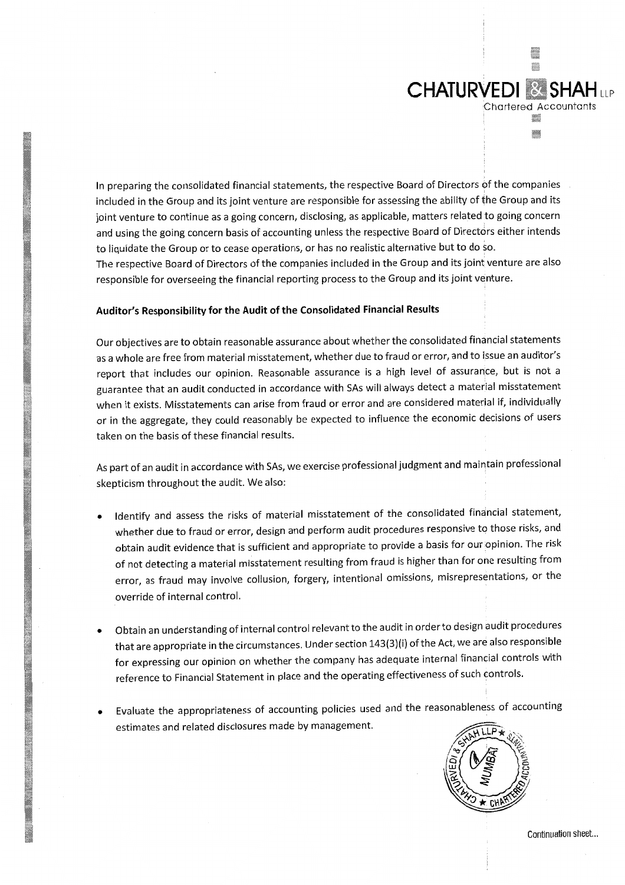In preparing the consolidated financial statements, the respective Board of Directors of the companies included in the Group and its joint venture are responsible for assessing the ability of the Group and its joint venture to continue as a going concern, disclosing, as applicable, matters related to going concern and using the going concern basis of accounting unless the respective Board of Directors either intends to liquidate the Group or to cease operations, or has no realistic alternative but to do so. The respective Board of Directors of the companies included in the Group and its joint venture are also responsible for overseeing the financial reporting process to the Group and its joint venture.

# Auditor's Responsibility for the Audit of the Consolidated Financial Results

Our objectives are to obtain reasonable assurance about whether the consolidated financial statements as a whole are free from material misstatement, whether due to fraud or error, and to issue an auditor's report that includes our opinion. Reasonable assurance is a high level of assurance, but is not a guarantee that an audit conducted in accordance with SAs will always detect a material misstatement when it exists. Misstatements can arise from fraud or error and are considered material if, individually or in the aggregate, they could reasonably be expected to influence the economic decisions of users taken on the basis of these financial results.

As part of an audit in accordance with SAs, we exercise professional judgment and maintain professional skepticism throughout the audit. We also:

- Identify and assess the risks of material misstatement of the consolidated financial statement, whether due to fraud or error, design and perform audit procedures responsive to those risks, and obtain audit evidence that is sufficient and appropriate to provide a basis for our opinion. The risk of not detecting a material misstatement resulting from fraud is higher than for one resulting from error, as fraud may involve collusion, forgery, intentional omissions, misrepresentations, or the override of internal control.
- Obtain an understanding of internal control relevant to the audit in order to design audit procedures  $\bullet$ that are appropriate in the circumstances. Under section 143(3)(i) of the Act, we are also responsible for expressing our opinion on whether the company has adequate internal financial controls with reference to Financial Statement in place and the operating effectiveness of such controls.
- Evaluate the appropriateness of accounting policies used and the reasonableness of accounting estimates and related disclosures made by management.



u.

**Chartered Accountants** 

X

**CHATURVEDI & SHAHLLP**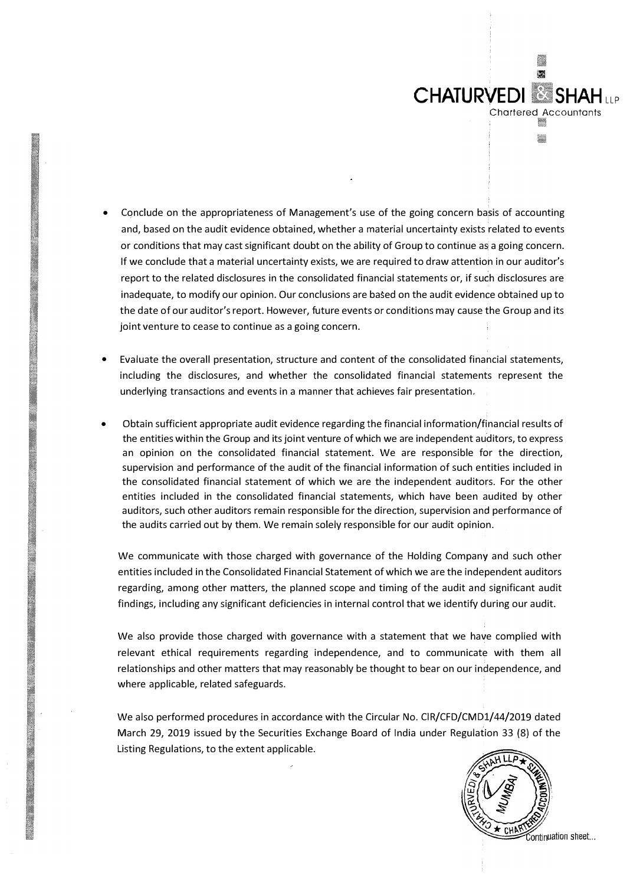- **CHATURVEDI SHAH LLP** Chartered Accountant W.
- Conclude on the appropriateness of Management's use of the going concern basis of accounting and, based on the audit evidence obtained, whether a material uncertainty exists related to events or conditions that may cast significant doubt on the ability of Group to continue as a going concern. If we conclude that a material uncertainty exists, we are required to draw attention in our auditor's report to the related disclosures in the consolidated financial statements or, if such disclosures are inadequate, to modify our opinion. Our conclusions are based on the audit evidence obtained up to the date of our auditor's report. However, future events or conditions may cause the Group and its joint venture to cease to continue as a going concern.
- Evaluate the overall presentation, structure and content of the consolidated financial statements, including the disclosures, and whether the consolidated financial statements represent the underlying transactions and events in a manner that achieves fair presentation.
- Obtain sufficient appropriate audit evidence regarding the financial information/financial results of the entities within the Group and its joint venture of which we are independent auditors, to express an opinion on the consolidated financial statement. We are responsible for the direction, supervision and performance of the audit of the financial information of such entities included in the consolidated financial statement of which we are the independent auditors. For the other entities included in the consolidated financial statements, which have been audited by other auditors, such other auditors remain responsible for the direction, supervision and performance of the audits carried out by them. We remain solely responsible for our audit opinion.

We communicate with those charged with governance of the Holding Company and such other entities included in the Consolidated Financial Statement of which we are the independent auditors regarding, among other matters, the planned scope and timing of the audit and significant audit findings, including any significant deficiencies in internal control that we identify during our audit.

We also provide those charged with governance with a statement that we have complied with relevant ethical requirements regarding independence, and to communicate with them all relationships and other matters that may reasonably be thought to bear on our independence, and where applicable, related safeguards.

We also performed procedures in accordance with the Circular No. CIR/CFD/CMD1/44/2019 dated March 29, 2019 issued by the Securities Exchange Board of India under Regulation 33 (8) of the Listing Regulations, to the extent applicable.